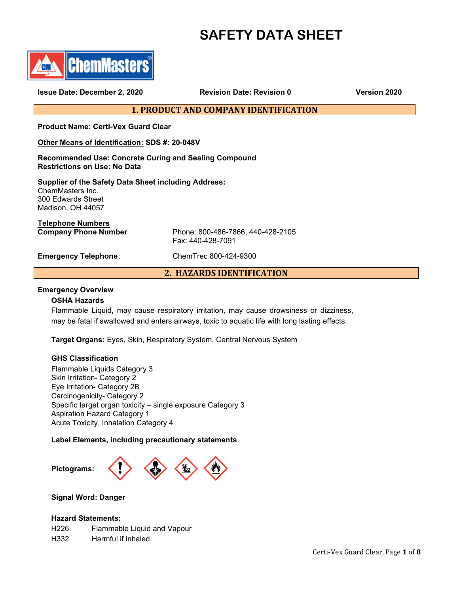# **SAFETY DATA SHEET**



**Issue Date: December 2, 2020 Revision Date: Revision 0 Version 2020**

**1. PRODUCT AND COMPANY IDENTIFICATION**

**Product Name: Certi-Vex Guard Clear**

**Other Means of Identification: SDS #: 20-048V**

**Recommended Use: Concrete Curing and Sealing Compound Restrictions on Use: No Data**

**Supplier of the Safety Data Sheet including Address:** ChemMasters Inc. 300 Edwards Street Madison, OH 44057

**Telephone Numbers**

Phone: 800-486-7866, 440-428-2105 Fax: 440-428-7091

**Emergency Telephone** : ChemTrec 800-424-9300

**2. HAZARDS IDENTIFICATION**

## **Emergency Overview**

## **OSHA Hazards**

Flammable Liquid, may cause respiratory irritation, may cause drowsiness or dizziness, may be fatal if swallowed and enters airways, toxic to aquatic life with long lasting effects.

**Target Organs:** Eyes, Skin, Respiratory System, Central Nervous System

## **GHS Classification**

Flammable Liquids Category 3 Skin Irritation- Category 2 Eye Irritation- Category 2B Carcinogenicity- Category 2 Specific target organ toxicity – single exposure Category 3 Aspiration Hazard Category 1 Acute Toxicity, Inhalation Category 4

**Label Elements, including precautionary statements** 



**Signal Word: Danger**

## **Hazard Statements:**

H226 Flammable Liquid and Vapour H332 Harmful if inhaled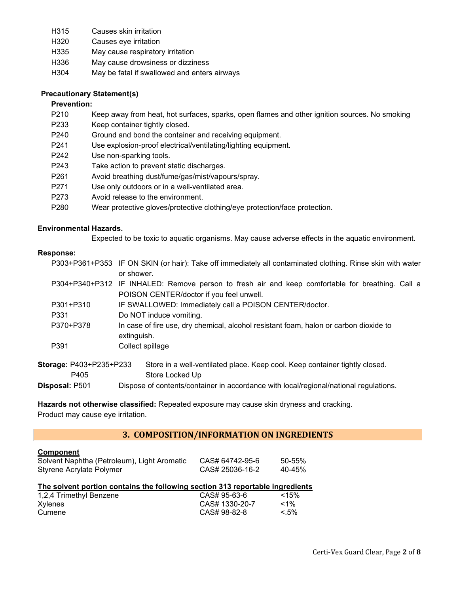- H315 Causes skin irritation
- H320 Causes eye irritation
- H335 May cause respiratory irritation
- H336 May cause drowsiness or dizziness
- H304 May be fatal if swallowed and enters airways

# **Precautionary Statement(s)**

# **Prevention:**

- P210 Keep away from heat, hot surfaces, sparks, open flames and other ignition sources. No smoking
- P233 Keep container tightly closed.
- P240 Ground and bond the container and receiving equipment.
- P241 Use explosion-proof electrical/ventilating/lighting equipment.
- P242 Use non-sparking tools.
- P243 Take action to prevent static discharges.
- P261 Avoid breathing dust/fume/gas/mist/vapours/spray.
- P271 Use only outdoors or in a well-ventilated area.
- P273 Avoid release to the environment.
- P280 Wear protective gloves/protective clothing/eye protection/face protection.

# **Environmental Hazards.**

Expected to be toxic to aquatic organisms. May cause adverse effects in the aquatic environment.

# **Response:**

|                         | P303+P361+P353 IF ON SKIN (or hair): Take off immediately all contaminated clothing. Rinse skin with water<br>or shower.                     |
|-------------------------|----------------------------------------------------------------------------------------------------------------------------------------------|
|                         | P304+P340+P312 IF INHALED: Remove person to fresh air and keep comfortable for breathing. Call a<br>POISON CENTER/doctor if you feel unwell. |
| P301+P310               | IF SWALLOWED: Immediately call a POISON CENTER/doctor.                                                                                       |
| P331                    | Do NOT induce vomiting.                                                                                                                      |
| P370+P378               | In case of fire use, dry chemical, alcohol resistant foam, halon or carbon dioxide to<br>extinguish.                                         |
| P391                    | Collect spillage                                                                                                                             |
| Storage: P403+P235+P233 | Store in a well-ventilated place. Keep cool. Keep container tightly closed.                                                                  |
| P405                    | Store Locked Up                                                                                                                              |
| Disposal: P501          | Dispose of contents/container in accordance with local/regional/national regulations.                                                        |

**Hazards not otherwise classified:** Repeated exposure may cause skin dryness and cracking.

Product may cause eye irritation.

# **3. COMPOSITION/INFORMATION ON INGREDIENTS**

# **Component**

| "                                           |                 |        |  |
|---------------------------------------------|-----------------|--------|--|
| Solvent Naphtha (Petroleum), Light Aromatic | CAS# 64742-95-6 | 50-55% |  |
| Styrene Acrylate Polymer                    | CAS# 25036-16-2 | 40-45% |  |

# **The solvent portion contains the following section 313 reportable ingredients**

| 1,2,4 Trimethyl Benzene | CAS# 95-63-6   | < 15%   |
|-------------------------|----------------|---------|
| Xylenes                 | CAS# 1330-20-7 | $<$ 1%  |
| Cumene                  | CAS# 98-82-8   | $< 5\%$ |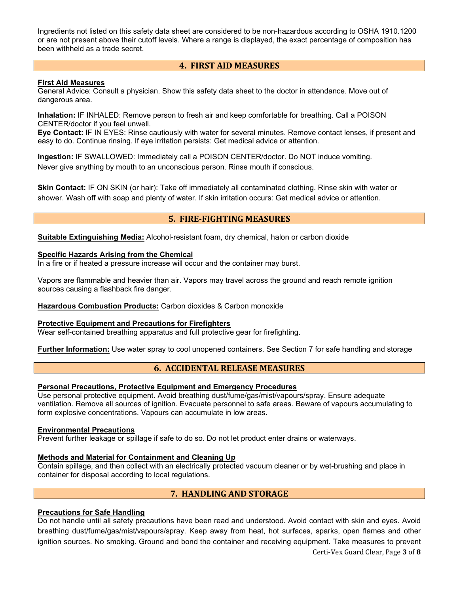Ingredients not listed on this safety data sheet are considered to be non-hazardous according to OSHA 1910.1200 or are not present above their cutoff levels. Where a range is displayed, the exact percentage of composition has been withheld as a trade secret.

# **4. FIRST AID MEASURES**

## **First Aid Measures**

General Advice: Consult a physician. Show this safety data sheet to the doctor in attendance. Move out of dangerous area.

**Inhalation:** IF INHALED: Remove person to fresh air and keep comfortable for breathing. Call a POISON CENTER/doctor if you feel unwell.

**Eye Contact:** IF IN EYES: Rinse cautiously with water for several minutes. Remove contact lenses, if present and easy to do. Continue rinsing. If eye irritation persists: Get medical advice or attention.

**Ingestion:** IF SWALLOWED: Immediately call a POISON CENTER/doctor. Do NOT induce vomiting. Never give anything by mouth to an unconscious person. Rinse mouth if conscious.

**Skin Contact:** IF ON SKIN (or hair): Take off immediately all contaminated clothing. Rinse skin with water or shower. Wash off with soap and plenty of water. If skin irritation occurs: Get medical advice or attention.

# **5. FIRE-FIGHTING MEASURES**

**Suitable Extinguishing Media:** Alcohol-resistant foam, dry chemical, halon or carbon dioxide

## **Specific Hazards Arising from the Chemical**

In a fire or if heated a pressure increase will occur and the container may burst.

Vapors are flammable and heavier than air. Vapors may travel across the ground and reach remote ignition sources causing a flashback fire danger.

## **Hazardous Combustion Products:** Carbon dioxides & Carbon monoxide

## **Protective Equipment and Precautions for Firefighters**

Wear self-contained breathing apparatus and full protective gear for firefighting.

**Further Information:** Use water spray to cool unopened containers. See Section 7 for safe handling and storage

# **6. ACCIDENTAL RELEASE MEASURES**

# **Personal Precautions, Protective Equipment and Emergency Procedures**

Use personal protective equipment. Avoid breathing dust/fume/gas/mist/vapours/spray. Ensure adequate ventilation. Remove all sources of ignition. Evacuate personnel to safe areas. Beware of vapours accumulating to form explosive concentrations. Vapours can accumulate in low areas.

## **Environmental Precautions**

Prevent further leakage or spillage if safe to do so. Do not let product enter drains or waterways.

## **Methods and Material for Containment and Cleaning Up**

Contain spillage, and then collect with an electrically protected vacuum cleaner or by wet-brushing and place in container for disposal according to local regulations.

# **7. HANDLING AND STORAGE**

## **Precautions for Safe Handling**

Do not handle until all safety precautions have been read and understood. Avoid contact with skin and eyes. Avoid breathing dust/fume/gas/mist/vapours/spray. Keep away from heat, hot surfaces, sparks, open flames and other ignition sources. No smoking. Ground and bond the container and receiving equipment. Take measures to prevent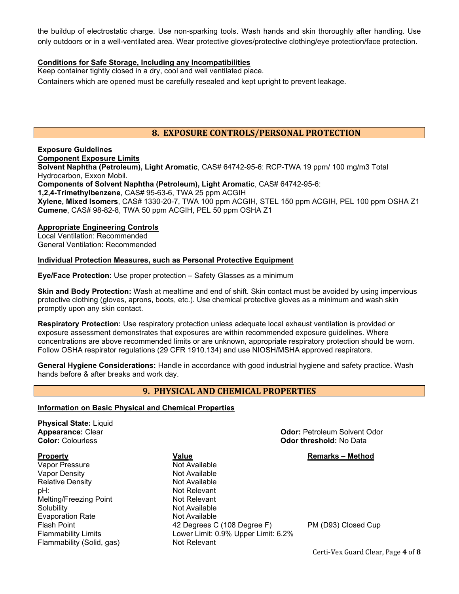the buildup of electrostatic charge. Use non-sparking tools. Wash hands and skin thoroughly after handling. Use only outdoors or in a well-ventilated area. Wear protective gloves/protective clothing/eye protection/face protection.

# **Conditions for Safe Storage, Including any Incompatibilities**

Keep container tightly closed in a dry, cool and well ventilated place. Containers which are opened must be carefully resealed and kept upright to prevent leakage.

# **8. EXPOSURE CONTROLS/PERSONAL PROTECTION**

**Exposure Guidelines Component Exposure Limits Solvent Naphtha (Petroleum), Light Aromatic**, CAS# 64742-95-6: RCP-TWA 19 ppm/ 100 mg/m3 Total Hydrocarbon, Exxon Mobil. **Components of Solvent Naphtha (Petroleum), Light Aromatic**, CAS# 64742-95-6: **1,2,4-Trimethylbenzene**, CAS# 95-63-6, TWA 25 ppm ACGIH **Xylene, Mixed Isomers**, CAS# 1330-20-7, TWA 100 ppm ACGIH, STEL 150 ppm ACGIH, PEL 100 ppm OSHA Z1 **Cumene**, CAS# 98-82-8, TWA 50 ppm ACGIH, PEL 50 ppm OSHA Z1

# **Appropriate Engineering Controls**

Local Ventilation: Recommended General Ventilation: Recommended

# **Individual Protection Measures, such as Personal Protective Equipment**

**Eye/Face Protection:** Use proper protection – Safety Glasses as a minimum

**Skin and Body Protection:** Wash at mealtime and end of shift. Skin contact must be avoided by using impervious protective clothing (gloves, aprons, boots, etc.). Use chemical protective gloves as a minimum and wash skin promptly upon any skin contact.

**Respiratory Protection:** Use respiratory protection unless adequate local exhaust ventilation is provided or exposure assessment demonstrates that exposures are within recommended exposure guidelines. Where concentrations are above recommended limits or are unknown, appropriate respiratory protection should be worn. Follow OSHA respirator regulations (29 CFR 1910.134) and use NIOSH/MSHA approved respirators.

**General Hygiene Considerations:** Handle in accordance with good industrial hygiene and safety practice. Wash hands before & after breaks and work day.

# **9. PHYSICAL AND CHEMICAL PROPERTIES**

## **Information on Basic Physical and Chemical Properties**

**Physical State:** Liquid **Appearance:** Clear **Odor: Petroleum Solvent Odor: Petroleum Solvent Odor**<br> **Odor:** Colourless **Odor: Colourless Odor: Petroleum Solvent Odor Property CONSIDERENT VALUE Remarks – Method Remarks – Method** Vapor Pressure Not Available Vapor Density Not Available Relative Density pH:  $\qquad \qquad$  Not Relevant Melting/Freezing Point (Not Relevant of Relevant of Relevant of Relevant of Relevant of Relevant of Relevant of Relevant of Relevant of Relevant of Relevant of Relevant of Relevant of Relevant of Melting/Freezing Point Solubility **Not Available** Evaporation Rate **Not Available**<br>Flash Point 1996 1997 12 Degrees C 42 Degrees C (108 Degree F) PM (D93) Closed Cup Flammability Limits Lower Limit: 0.9% Upper Limit: 6.2% Flammability (Solid, gas) Not Relevant

**Color threshold: No Data** 

Certi-Vex Guard Clear, Page **4** of **8**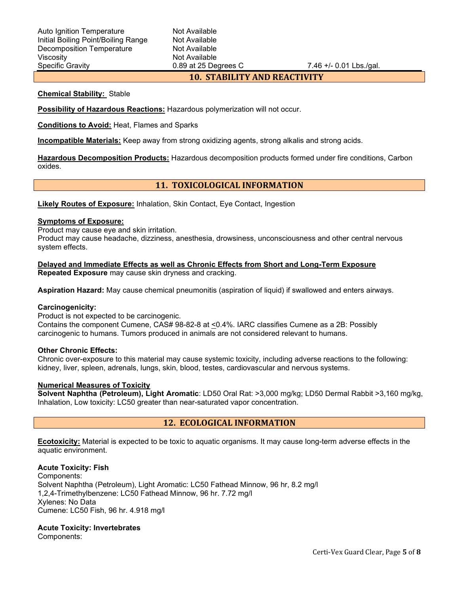# **10. STABILITY AND REACTIVITY**

## **Chemical Stability:** Stable

**Possibility of Hazardous Reactions:** Hazardous polymerization will not occur.

**Conditions to Avoid:** Heat, Flames and Sparks

**Incompatible Materials:** Keep away from strong oxidizing agents, strong alkalis and strong acids.

**Hazardous Decomposition Products:** Hazardous decomposition products formed under fire conditions, Carbon oxides.

# **11. TOXICOLOGICAL INFORMATION**

**Likely Routes of Exposure:** Inhalation, Skin Contact, Eye Contact, Ingestion

# **Symptoms of Exposure:**

Product may cause eye and skin irritation.

Product may cause headache, dizziness, anesthesia, drowsiness, unconsciousness and other central nervous system effects.

**Delayed and Immediate Effects as well as Chronic Effects from Short and Long-Term Exposure Repeated Exposure** may cause skin dryness and cracking.

**Aspiration Hazard:** May cause chemical pneumonitis (aspiration of liquid) if swallowed and enters airways.

## **Carcinogenicity:**

Product is not expected to be carcinogenic.

Contains the component Cumene, CAS# 98-82-8 at <0.4%. IARC classifies Cumene as a 2B: Possibly carcinogenic to humans. Tumors produced in animals are not considered relevant to humans.

## **Other Chronic Effects:**

Chronic over-exposure to this material may cause systemic toxicity, including adverse reactions to the following: kidney, liver, spleen, adrenals, lungs, skin, blood, testes, cardiovascular and nervous systems.

## **Numerical Measures of Toxicity**

**Solvent Naphtha (Petroleum), Light Aromatic**: LD50 Oral Rat: >3,000 mg/kg; LD50 Dermal Rabbit >3,160 mg/kg, Inhalation, Low toxicity: LC50 greater than near-saturated vapor concentration.

# **12. ECOLOGICAL INFORMATION**

**Ecotoxicity:** Material is expected to be toxic to aquatic organisms. It may cause long-term adverse effects in the aquatic environment.

## **Acute Toxicity: Fish**

Components: Solvent Naphtha (Petroleum), Light Aromatic: LC50 Fathead Minnow, 96 hr, 8.2 mg/l 1,2,4-Trimethylbenzene: LC50 Fathead Minnow, 96 hr. 7.72 mg/l Xylenes: No Data Cumene: LC50 Fish, 96 hr. 4.918 mg/l

## **Acute Toxicity: Invertebrates**

Components: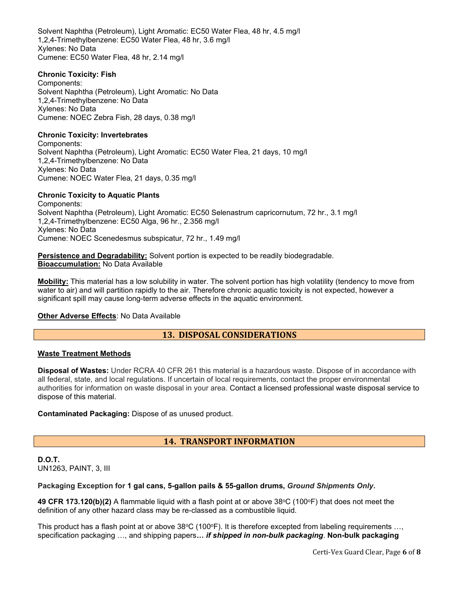Solvent Naphtha (Petroleum), Light Aromatic: EC50 Water Flea, 48 hr, 4.5 mg/l 1,2,4-Trimethylbenzene: EC50 Water Flea, 48 hr, 3.6 mg/l Xylenes: No Data Cumene: EC50 Water Flea, 48 hr, 2.14 mg/l

## **Chronic Toxicity: Fish**

Components: Solvent Naphtha (Petroleum), Light Aromatic: No Data 1,2,4-Trimethylbenzene: No Data Xylenes: No Data Cumene: NOEC Zebra Fish, 28 days, 0.38 mg/l

# **Chronic Toxicity: Invertebrates**

Components: Solvent Naphtha (Petroleum), Light Aromatic: EC50 Water Flea, 21 days, 10 mg/l 1,2,4-Trimethylbenzene: No Data Xylenes: No Data Cumene: NOEC Water Flea, 21 days, 0.35 mg/l

## **Chronic Toxicity to Aquatic Plants**

Components: Solvent Naphtha (Petroleum), Light Aromatic: EC50 Selenastrum capricornutum, 72 hr., 3.1 mg/l 1,2,4-Trimethylbenzene: EC50 Alga, 96 hr., 2.356 mg/l Xylenes: No Data Cumene: NOEC Scenedesmus subspicatur, 72 hr., 1.49 mg/l

**Persistence and Degradability:** Solvent portion is expected to be readily biodegradable. **Bioaccumulation:** No Data Available

**Mobility:** This material has a low solubility in water. The solvent portion has high volatility (tendency to move from water to air) and will partition rapidly to the air. Therefore chronic aquatic toxicity is not expected, however a significant spill may cause long-term adverse effects in the aquatic environment.

## **Other Adverse Effects**: No Data Available

# **13. DISPOSAL CONSIDERATIONS**

## **Waste Treatment Methods**

**Disposal of Wastes:** Under RCRA 40 CFR 261 this material is a hazardous waste. Dispose of in accordance with all federal, state, and local regulations. If uncertain of local requirements, contact the proper environmental authorities for information on waste disposal in your area. Contact a licensed professional waste disposal service to dispose of this material.

## **Contaminated Packaging:** Dispose of as unused product.

# **14. TRANSPORT INFORMATION**

**D.O.T.** UN1263, PAINT, 3, III

# **Packaging Exception for 1 gal cans, 5-gallon pails & 55-gallon drums,** *Ground Shipments Only***.**

**49 CFR 173.120(b)(2)** A flammable liquid with a flash point at or above 38°C (100°F) that does not meet the definition of any other hazard class may be re-classed as a combustible liquid.

This product has a flash point at or above  $38^{\circ}C$  (100 $^{\circ}F$ ). It is therefore excepted from labeling requirements ..., specification packaging …, and shipping papers*… if shipped in non-bulk packaging*. **Non-bulk packaging**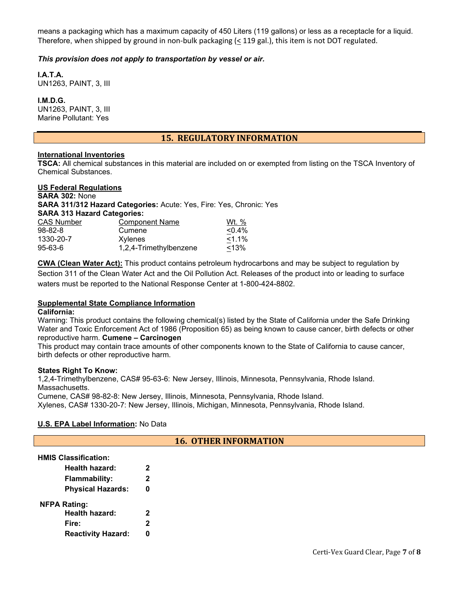means a packaging which has a maximum capacity of 450 Liters (119 gallons) or less as a receptacle for a liquid. Therefore, when shipped by ground in non-bulk packaging (< 119 gal.), this item is not DOT regulated.

# *This provision does not apply to transportation by vessel or air.*

**I.A.T.A.** UN1263, PAINT, 3, III

**I.M.D.G.** UN1263, PAINT, 3, III Marine Pollutant: Yes

# **15. REGULATORY INFORMATION**

## **International Inventories**

**TSCA:** All chemical substances in this material are included on or exempted from listing on the TSCA Inventory of Chemical Substances.

## **US Federal Regulations SARA 302:** None **SARA 311/312 Hazard Categories:** Acute: Yes, Fire: Yes, Chronic: Yes **SARA 313 Hazard Categories:** CAS Number Component Name Wt. %<br>98-82-8 Cumene Cumene Cumene Cumene 98-82-8 Cumene 1330-20-7 Xylenes <1.1% 95-63-6 1,2,4-Trimethylbenzene <13%

**CWA (Clean Water Act):** This product contains petroleum hydrocarbons and may be subject to regulation by Section 311 of the Clean Water Act and the Oil Pollution Act. Releases of the product into or leading to surface waters must be reported to the National Response Center at 1-800-424-8802.

# **Supplemental State Compliance Information**

## **California:**

Warning: This product contains the following chemical(s) listed by the State of California under the Safe Drinking Water and Toxic Enforcement Act of 1986 (Proposition 65) as being known to cause cancer, birth defects or other reproductive harm. **Cumene – Carcinogen**

This product may contain trace amounts of other components known to the State of California to cause cancer, birth defects or other reproductive harm.

## **States Right To Know:**

1,2,4-Trimethylbenzene, CAS# 95-63-6: New Jersey, Illinois, Minnesota, Pennsylvania, Rhode Island. Massachusetts. Cumene, CAS# 98-82-8: New Jersey, Illinois, Minnesota, Pennsylvania, Rhode Island.

Xylenes, CAS# 1330-20-7: New Jersey, Illinois, Michigan, Minnesota, Pennsylvania, Rhode Island.

# **U.S. EPA Label Information:** No Data

# **16. OTHER INFORMATION**

## **HMIS Classification:**

| <b>Health hazard:</b>     | 2 |
|---------------------------|---|
| <b>Flammability:</b>      | 2 |
| <b>Physical Hazards:</b>  | 0 |
| <b>NFPA Rating:</b>       |   |
| <b>Health hazard:</b>     | 2 |
| Fire:                     | 2 |
| <b>Reactivity Hazard:</b> | N |